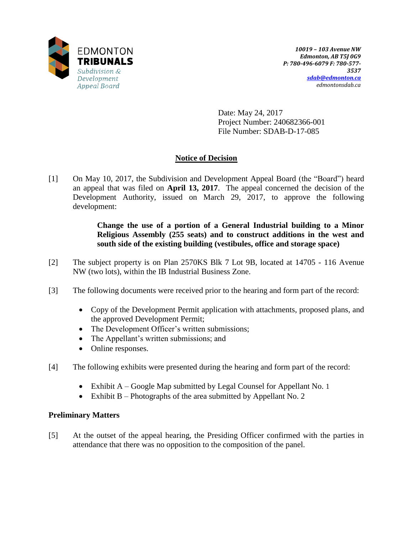

Date: May 24, 2017 Project Number: 240682366-001 File Number: SDAB-D-17-085

# **Notice of Decision**

[1] On May 10, 2017, the Subdivision and Development Appeal Board (the "Board") heard an appeal that was filed on **April 13, 2017**. The appeal concerned the decision of the Development Authority, issued on March 29, 2017, to approve the following development:

> **Change the use of a portion of a General Industrial building to a Minor Religious Assembly (255 seats) and to construct additions in the west and south side of the existing building (vestibules, office and storage space)**

- [2] The subject property is on Plan 2570KS Blk 7 Lot 9B, located at 14705 116 Avenue NW (two lots), within the IB Industrial Business Zone.
- [3] The following documents were received prior to the hearing and form part of the record:
	- Copy of the Development Permit application with attachments, proposed plans, and the approved Development Permit;
	- The Development Officer's written submissions;
	- The Appellant's written submissions; and
	- Online responses.
- [4] The following exhibits were presented during the hearing and form part of the record:
	- Exhibit A Google Map submitted by Legal Counsel for Appellant No. 1
	- Exhibit B Photographs of the area submitted by Appellant No. 2

## **Preliminary Matters**

[5] At the outset of the appeal hearing, the Presiding Officer confirmed with the parties in attendance that there was no opposition to the composition of the panel.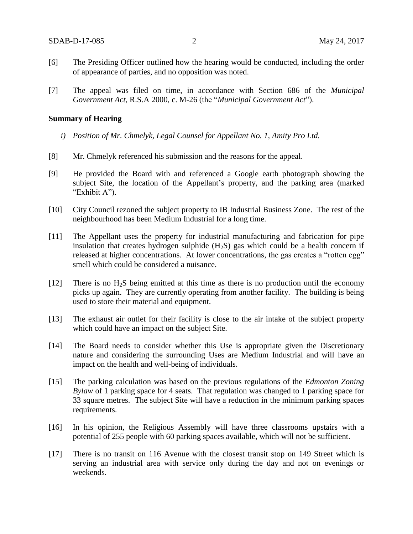- [6] The Presiding Officer outlined how the hearing would be conducted, including the order of appearance of parties, and no opposition was noted.
- [7] The appeal was filed on time, in accordance with Section 686 of the *Municipal Government Act*, R.S.A 2000, c. M-26 (the "*Municipal Government Act*").

#### **Summary of Hearing**

- *i) Position of Mr. Chmelyk, Legal Counsel for Appellant No. 1, Amity Pro Ltd.*
- [8] Mr. Chmelyk referenced his submission and the reasons for the appeal.
- [9] He provided the Board with and referenced a Google earth photograph showing the subject Site, the location of the Appellant's property, and the parking area (marked "Exhibit A").
- [10] City Council rezoned the subject property to IB Industrial Business Zone. The rest of the neighbourhood has been Medium Industrial for a long time.
- [11] The Appellant uses the property for industrial manufacturing and fabrication for pipe insulation that creates hydrogen sulphide  $(H_2S)$  gas which could be a health concern if released at higher concentrations. At lower concentrations, the gas creates a "rotten egg" smell which could be considered a nuisance.
- [12] There is no  $H_2S$  being emitted at this time as there is no production until the economy picks up again. They are currently operating from another facility. The building is being used to store their material and equipment.
- [13] The exhaust air outlet for their facility is close to the air intake of the subject property which could have an impact on the subject Site.
- [14] The Board needs to consider whether this Use is appropriate given the Discretionary nature and considering the surrounding Uses are Medium Industrial and will have an impact on the health and well-being of individuals.
- [15] The parking calculation was based on the previous regulations of the *Edmonton Zoning Bylaw* of 1 parking space for 4 seats. That regulation was changed to 1 parking space for 33 square metres. The subject Site will have a reduction in the minimum parking spaces requirements.
- [16] In his opinion, the Religious Assembly will have three classrooms upstairs with a potential of 255 people with 60 parking spaces available, which will not be sufficient.
- [17] There is no transit on 116 Avenue with the closest transit stop on 149 Street which is serving an industrial area with service only during the day and not on evenings or weekends.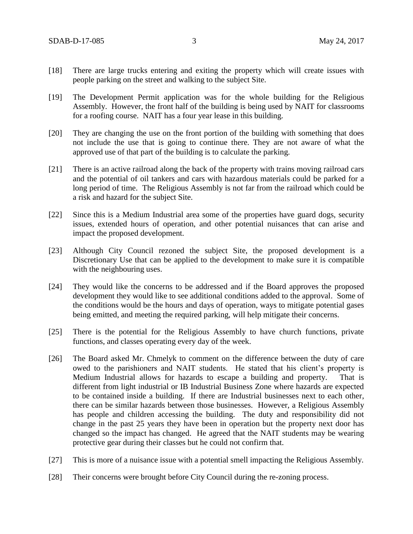- [18] There are large trucks entering and exiting the property which will create issues with people parking on the street and walking to the subject Site.
- [19] The Development Permit application was for the whole building for the Religious Assembly. However, the front half of the building is being used by NAIT for classrooms for a roofing course. NAIT has a four year lease in this building.
- [20] They are changing the use on the front portion of the building with something that does not include the use that is going to continue there. They are not aware of what the approved use of that part of the building is to calculate the parking.
- [21] There is an active railroad along the back of the property with trains moving railroad cars and the potential of oil tankers and cars with hazardous materials could be parked for a long period of time. The Religious Assembly is not far from the railroad which could be a risk and hazard for the subject Site.
- [22] Since this is a Medium Industrial area some of the properties have guard dogs, security issues, extended hours of operation, and other potential nuisances that can arise and impact the proposed development.
- [23] Although City Council rezoned the subject Site, the proposed development is a Discretionary Use that can be applied to the development to make sure it is compatible with the neighbouring uses.
- [24] They would like the concerns to be addressed and if the Board approves the proposed development they would like to see additional conditions added to the approval. Some of the conditions would be the hours and days of operation, ways to mitigate potential gases being emitted, and meeting the required parking, will help mitigate their concerns.
- [25] There is the potential for the Religious Assembly to have church functions, private functions, and classes operating every day of the week.
- [26] The Board asked Mr. Chmelyk to comment on the difference between the duty of care owed to the parishioners and NAIT students. He stated that his client's property is Medium Industrial allows for hazards to escape a building and property. That is different from light industrial or IB Industrial Business Zone where hazards are expected to be contained inside a building. If there are Industrial businesses next to each other, there can be similar hazards between those businesses. However, a Religious Assembly has people and children accessing the building. The duty and responsibility did not change in the past 25 years they have been in operation but the property next door has changed so the impact has changed. He agreed that the NAIT students may be wearing protective gear during their classes but he could not confirm that.
- [27] This is more of a nuisance issue with a potential smell impacting the Religious Assembly.
- [28] Their concerns were brought before City Council during the re-zoning process.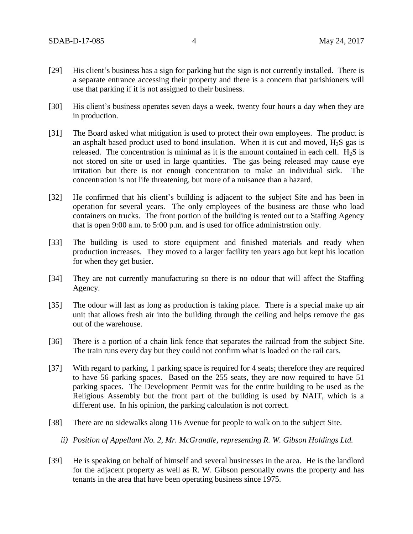- [29] His client's business has a sign for parking but the sign is not currently installed. There is a separate entrance accessing their property and there is a concern that parishioners will use that parking if it is not assigned to their business.
- [30] His client's business operates seven days a week, twenty four hours a day when they are in production.
- [31] The Board asked what mitigation is used to protect their own employees. The product is an asphalt based product used to bond insulation. When it is cut and moved,  $H_2S$  gas is released. The concentration is minimal as it is the amount contained in each cell.  $H_2S$  is not stored on site or used in large quantities. The gas being released may cause eye irritation but there is not enough concentration to make an individual sick. The concentration is not life threatening, but more of a nuisance than a hazard.
- [32] He confirmed that his client's building is adjacent to the subject Site and has been in operation for several years. The only employees of the business are those who load containers on trucks. The front portion of the building is rented out to a Staffing Agency that is open 9:00 a.m. to 5:00 p.m. and is used for office administration only.
- [33] The building is used to store equipment and finished materials and ready when production increases. They moved to a larger facility ten years ago but kept his location for when they get busier.
- [34] They are not currently manufacturing so there is no odour that will affect the Staffing Agency.
- [35] The odour will last as long as production is taking place. There is a special make up air unit that allows fresh air into the building through the ceiling and helps remove the gas out of the warehouse.
- [36] There is a portion of a chain link fence that separates the railroad from the subject Site. The train runs every day but they could not confirm what is loaded on the rail cars.
- [37] With regard to parking, 1 parking space is required for 4 seats; therefore they are required to have 56 parking spaces. Based on the 255 seats, they are now required to have 51 parking spaces. The Development Permit was for the entire building to be used as the Religious Assembly but the front part of the building is used by NAIT, which is a different use. In his opinion, the parking calculation is not correct.
- [38] There are no sidewalks along 116 Avenue for people to walk on to the subject Site.
	- *ii) Position of Appellant No. 2, Mr. McGrandle, representing R. W. Gibson Holdings Ltd.*
- [39] He is speaking on behalf of himself and several businesses in the area. He is the landlord for the adjacent property as well as R. W. Gibson personally owns the property and has tenants in the area that have been operating business since 1975.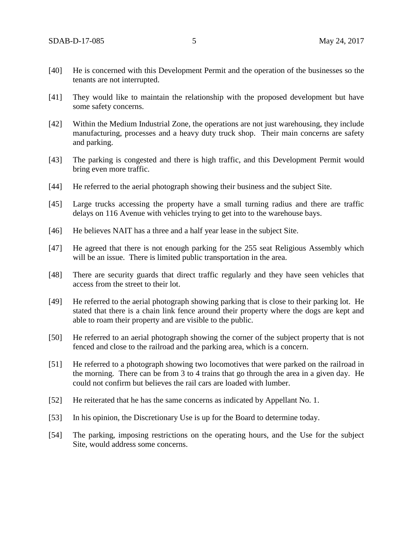- [40] He is concerned with this Development Permit and the operation of the businesses so the tenants are not interrupted.
- [41] They would like to maintain the relationship with the proposed development but have some safety concerns.
- [42] Within the Medium Industrial Zone, the operations are not just warehousing, they include manufacturing, processes and a heavy duty truck shop. Their main concerns are safety and parking.
- [43] The parking is congested and there is high traffic, and this Development Permit would bring even more traffic.
- [44] He referred to the aerial photograph showing their business and the subject Site.
- [45] Large trucks accessing the property have a small turning radius and there are traffic delays on 116 Avenue with vehicles trying to get into to the warehouse bays.
- [46] He believes NAIT has a three and a half year lease in the subject Site.
- [47] He agreed that there is not enough parking for the 255 seat Religious Assembly which will be an issue. There is limited public transportation in the area.
- [48] There are security guards that direct traffic regularly and they have seen vehicles that access from the street to their lot.
- [49] He referred to the aerial photograph showing parking that is close to their parking lot. He stated that there is a chain link fence around their property where the dogs are kept and able to roam their property and are visible to the public.
- [50] He referred to an aerial photograph showing the corner of the subject property that is not fenced and close to the railroad and the parking area, which is a concern.
- [51] He referred to a photograph showing two locomotives that were parked on the railroad in the morning. There can be from 3 to 4 trains that go through the area in a given day. He could not confirm but believes the rail cars are loaded with lumber.
- [52] He reiterated that he has the same concerns as indicated by Appellant No. 1.
- [53] In his opinion, the Discretionary Use is up for the Board to determine today.
- [54] The parking, imposing restrictions on the operating hours, and the Use for the subject Site, would address some concerns.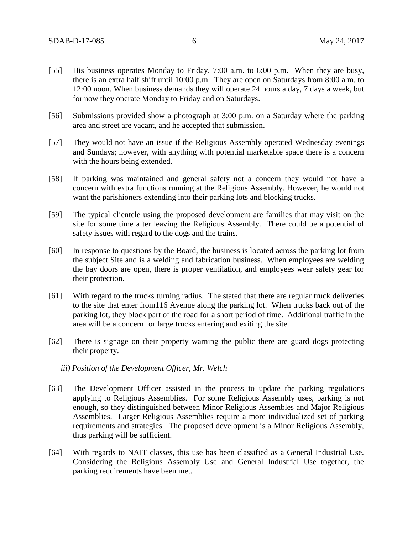- [55] His business operates Monday to Friday, 7:00 a.m. to 6:00 p.m. When they are busy, there is an extra half shift until 10:00 p.m. They are open on Saturdays from 8:00 a.m. to 12:00 noon. When business demands they will operate 24 hours a day, 7 days a week, but for now they operate Monday to Friday and on Saturdays.
- [56] Submissions provided show a photograph at 3:00 p.m. on a Saturday where the parking area and street are vacant, and he accepted that submission.
- [57] They would not have an issue if the Religious Assembly operated Wednesday evenings and Sundays; however, with anything with potential marketable space there is a concern with the hours being extended.
- [58] If parking was maintained and general safety not a concern they would not have a concern with extra functions running at the Religious Assembly. However, he would not want the parishioners extending into their parking lots and blocking trucks.
- [59] The typical clientele using the proposed development are families that may visit on the site for some time after leaving the Religious Assembly. There could be a potential of safety issues with regard to the dogs and the trains.
- [60] In response to questions by the Board, the business is located across the parking lot from the subject Site and is a welding and fabrication business. When employees are welding the bay doors are open, there is proper ventilation, and employees wear safety gear for their protection.
- [61] With regard to the trucks turning radius. The stated that there are regular truck deliveries to the site that enter from116 Avenue along the parking lot. When trucks back out of the parking lot, they block part of the road for a short period of time. Additional traffic in the area will be a concern for large trucks entering and exiting the site.
- [62] There is signage on their property warning the public there are guard dogs protecting their property.
	- *iii) Position of the Development Officer, Mr. Welch*
- [63] The Development Officer assisted in the process to update the parking regulations applying to Religious Assemblies. For some Religious Assembly uses, parking is not enough, so they distinguished between Minor Religious Assembles and Major Religious Assemblies. Larger Religious Assemblies require a more individualized set of parking requirements and strategies. The proposed development is a Minor Religious Assembly, thus parking will be sufficient.
- [64] With regards to NAIT classes, this use has been classified as a General Industrial Use. Considering the Religious Assembly Use and General Industrial Use together, the parking requirements have been met.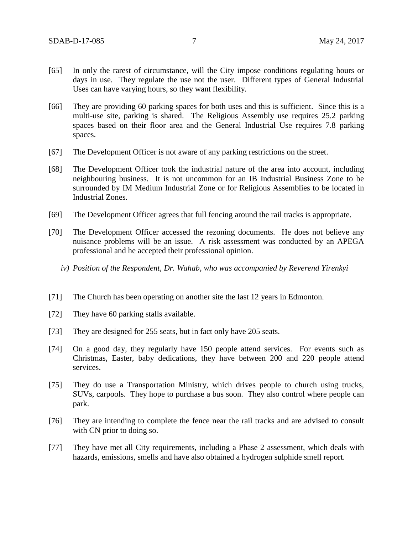- [65] In only the rarest of circumstance, will the City impose conditions regulating hours or days in use. They regulate the use not the user. Different types of General Industrial Uses can have varying hours, so they want flexibility.
- [66] They are providing 60 parking spaces for both uses and this is sufficient. Since this is a multi-use site, parking is shared. The Religious Assembly use requires 25.2 parking spaces based on their floor area and the General Industrial Use requires 7.8 parking spaces.
- [67] The Development Officer is not aware of any parking restrictions on the street.
- [68] The Development Officer took the industrial nature of the area into account, including neighbouring business. It is not uncommon for an IB Industrial Business Zone to be surrounded by IM Medium Industrial Zone or for Religious Assemblies to be located in Industrial Zones.
- [69] The Development Officer agrees that full fencing around the rail tracks is appropriate.
- [70] The Development Officer accessed the rezoning documents. He does not believe any nuisance problems will be an issue. A risk assessment was conducted by an APEGA professional and he accepted their professional opinion.
	- *iv) Position of the Respondent, Dr. Wahab, who was accompanied by Reverend Yirenkyi*
- [71] The Church has been operating on another site the last 12 years in Edmonton.
- [72] They have 60 parking stalls available.
- [73] They are designed for 255 seats, but in fact only have 205 seats.
- [74] On a good day, they regularly have 150 people attend services. For events such as Christmas, Easter, baby dedications, they have between 200 and 220 people attend services.
- [75] They do use a Transportation Ministry, which drives people to church using trucks, SUVs, carpools. They hope to purchase a bus soon. They also control where people can park.
- [76] They are intending to complete the fence near the rail tracks and are advised to consult with CN prior to doing so.
- [77] They have met all City requirements, including a Phase 2 assessment, which deals with hazards, emissions, smells and have also obtained a hydrogen sulphide smell report.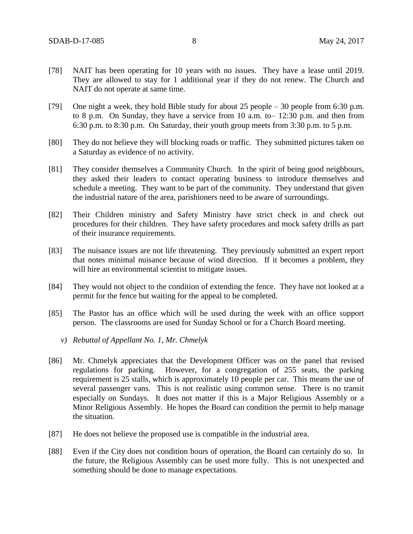- [78] NAIT has been operating for 10 years with no issues. They have a lease until 2019. They are allowed to stay for 1 additional year if they do not renew. The Church and NAIT do not operate at same time.
- [79] One night a week, they hold Bible study for about 25 people 30 people from 6:30 p.m. to 8 p.m. On Sunday, they have a service from 10 a.m. to– 12:30 p.m. and then from 6:30 p.m. to 8:30 p.m. On Saturday, their youth group meets from 3:30 p.m. to 5 p.m.
- [80] They do not believe they will blocking roads or traffic. They submitted pictures taken on a Saturday as evidence of no activity.
- [81] They consider themselves a Community Church. In the spirit of being good neighbours, they asked their leaders to contact operating business to introduce themselves and schedule a meeting. They want to be part of the community. They understand that given the industrial nature of the area, parishioners need to be aware of surroundings.
- [82] Their Children ministry and Safety Ministry have strict check in and check out procedures for their children. They have safety procedures and mock safety drills as part of their insurance requirements.
- [83] The nuisance issues are not life threatening. They previously submitted an expert report that notes minimal nuisance because of wind direction. If it becomes a problem, they will hire an environmental scientist to mitigate issues.
- [84] They would not object to the condition of extending the fence. They have not looked at a permit for the fence but waiting for the appeal to be completed.
- [85] The Pastor has an office which will be used during the week with an office support person. The classrooms are used for Sunday School or for a Church Board meeting.
	- *v) Rebuttal of Appellant No. 1, Mr. Chmelyk*
- [86] Mr. Chmelyk appreciates that the Development Officer was on the panel that revised regulations for parking. However, for a congregation of 255 seats, the parking requirement is 25 stalls, which is approximately 10 people per car. This means the use of several passenger vans. This is not realistic using common sense. There is no transit especially on Sundays. It does not matter if this is a Major Religious Assembly or a Minor Religious Assembly. He hopes the Board can condition the permit to help manage the situation.
- [87] He does not believe the proposed use is compatible in the industrial area.
- [88] Even if the City does not condition hours of operation, the Board can certainly do so. In the future, the Religious Assembly can be used more fully. This is not unexpected and something should be done to manage expectations.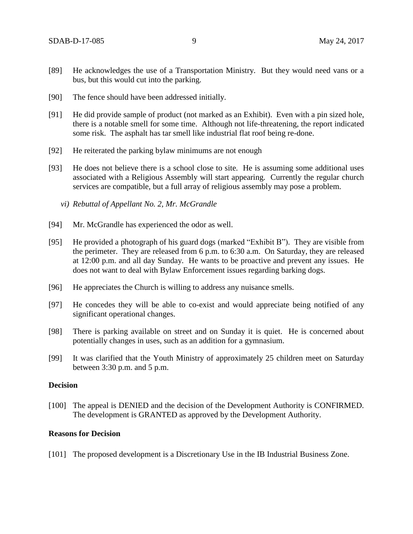- [89] He acknowledges the use of a Transportation Ministry. But they would need vans or a bus, but this would cut into the parking.
- [90] The fence should have been addressed initially.
- [91] He did provide sample of product (not marked as an Exhibit). Even with a pin sized hole, there is a notable smell for some time. Although not life-threatening, the report indicated some risk. The asphalt has tar smell like industrial flat roof being re-done.
- [92] He reiterated the parking bylaw minimums are not enough
- [93] He does not believe there is a school close to site. He is assuming some additional uses associated with a Religious Assembly will start appearing. Currently the regular church services are compatible, but a full array of religious assembly may pose a problem.
	- *vi) Rebuttal of Appellant No. 2, Mr. McGrandle*
- [94] Mr. McGrandle has experienced the odor as well.
- [95] He provided a photograph of his guard dogs (marked "Exhibit B"). They are visible from the perimeter. They are released from 6 p.m. to 6:30 a.m. On Saturday, they are released at 12:00 p.m. and all day Sunday. He wants to be proactive and prevent any issues. He does not want to deal with Bylaw Enforcement issues regarding barking dogs.
- [96] He appreciates the Church is willing to address any nuisance smells.
- [97] He concedes they will be able to co-exist and would appreciate being notified of any significant operational changes.
- [98] There is parking available on street and on Sunday it is quiet. He is concerned about potentially changes in uses, such as an addition for a gymnasium.
- [99] It was clarified that the Youth Ministry of approximately 25 children meet on Saturday between 3:30 p.m. and 5 p.m.

#### **Decision**

[100] The appeal is DENIED and the decision of the Development Authority is CONFIRMED. The development is GRANTED as approved by the Development Authority.

### **Reasons for Decision**

[101] The proposed development is a Discretionary Use in the IB Industrial Business Zone.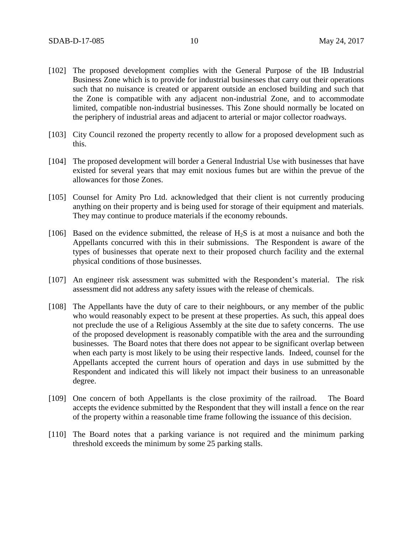- [102] The proposed development complies with the General Purpose of the IB Industrial Business Zone which is to provide for industrial businesses that carry out their operations such that no nuisance is created or apparent outside an enclosed building and such that the Zone is compatible with any adjacent non-industrial Zone, and to accommodate limited, compatible non-industrial businesses. This Zone should normally be located on the periphery of industrial areas and adjacent to arterial or major collector roadways.
- [103] City Council rezoned the property recently to allow for a proposed development such as this.
- [104] The proposed development will border a General Industrial Use with businesses that have existed for several years that may emit noxious fumes but are within the prevue of the allowances for those Zones.
- [105] Counsel for Amity Pro Ltd. acknowledged that their client is not currently producing anything on their property and is being used for storage of their equipment and materials. They may continue to produce materials if the economy rebounds.
- [106] Based on the evidence submitted, the release of  $H_2S$  is at most a nuisance and both the Appellants concurred with this in their submissions. The Respondent is aware of the types of businesses that operate next to their proposed church facility and the external physical conditions of those businesses.
- [107] An engineer risk assessment was submitted with the Respondent's material. The risk assessment did not address any safety issues with the release of chemicals.
- [108] The Appellants have the duty of care to their neighbours, or any member of the public who would reasonably expect to be present at these properties. As such, this appeal does not preclude the use of a Religious Assembly at the site due to safety concerns. The use of the proposed development is reasonably compatible with the area and the surrounding businesses. The Board notes that there does not appear to be significant overlap between when each party is most likely to be using their respective lands. Indeed, counsel for the Appellants accepted the current hours of operation and days in use submitted by the Respondent and indicated this will likely not impact their business to an unreasonable degree.
- [109] One concern of both Appellants is the close proximity of the railroad. The Board accepts the evidence submitted by the Respondent that they will install a fence on the rear of the property within a reasonable time frame following the issuance of this decision.
- [110] The Board notes that a parking variance is not required and the minimum parking threshold exceeds the minimum by some 25 parking stalls.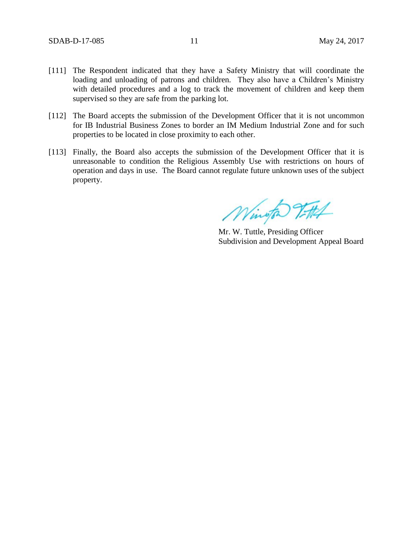- [111] The Respondent indicated that they have a Safety Ministry that will coordinate the loading and unloading of patrons and children. They also have a Children's Ministry with detailed procedures and a log to track the movement of children and keep them supervised so they are safe from the parking lot.
- [112] The Board accepts the submission of the Development Officer that it is not uncommon for IB Industrial Business Zones to border an IM Medium Industrial Zone and for such properties to be located in close proximity to each other.
- [113] Finally, the Board also accepts the submission of the Development Officer that it is unreasonable to condition the Religious Assembly Use with restrictions on hours of operation and days in use. The Board cannot regulate future unknown uses of the subject property.

Wington Vittel

Mr. W. Tuttle, Presiding Officer Subdivision and Development Appeal Board